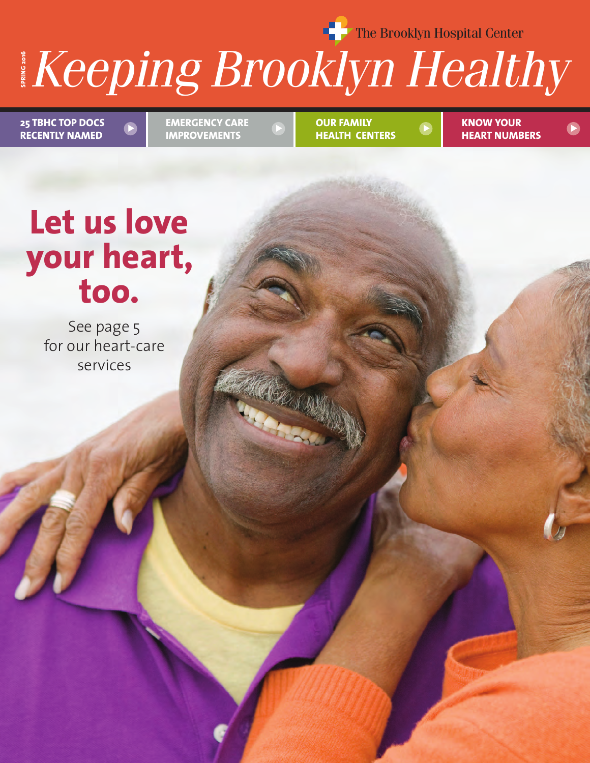**The Brooklyn Hospital Center** 

# $\boldsymbol{\mathsf{n}}$ in $\boldsymbol{\mathsf{o}}$  Rr **HEALTH NEWS YOU CAN USE FROM BETH ISRAEL MEDICAL CENTER SPRING <sup>2016</sup>** *Keeping Brooklyn Healthy*

**25 TBHC TOP DOCS RECENTLY NAMED**

**EMERGENCY CARE IMPROVEMENTS**   $\triangleright$   $\triangleright$   $\triangleright$   $\triangleright$   $\triangleright$   $\triangleright$   $\triangleright$   $\triangleright$   $\triangleright$   $\triangleright$   $\triangleright$   $\triangleright$   $\triangleright$   $\triangleright$   $\triangleright$   $\triangleright$   $\triangleright$   $\triangleright$   $\triangleright$   $\triangleright$   $\triangleright$   $\triangleright$   $\triangleright$   $\triangleright$   $\triangleright$   $\triangleright$   $\triangleright$   $\triangleright$   $\triangleright$   $\triangleright$   $\triangleright$   $\triangler$ 

**OUR FAMILY HEALTH CENTERS**

**KNOW YOUR HEART NUMBERS**

# **Let us love your heart, too.**

See page 5 for our heart-care services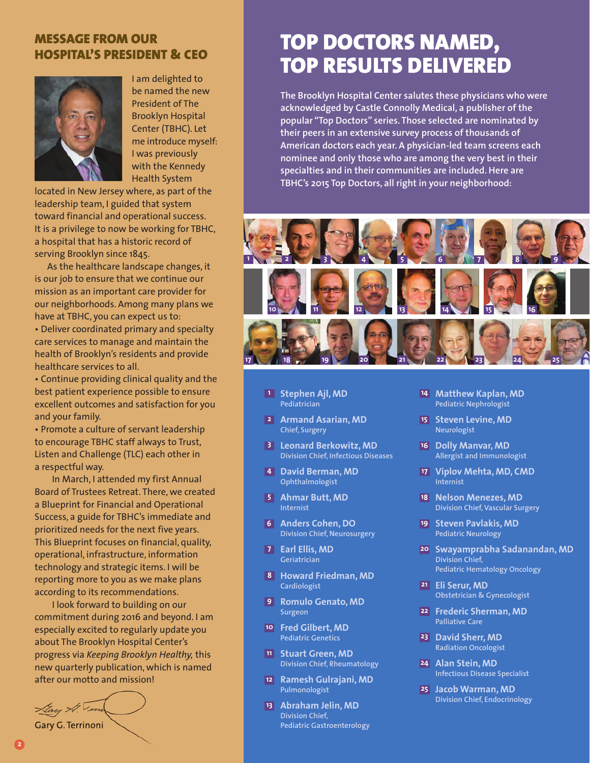#### **MESSAGE FROM OUR HOSPITAL'S PRESIDENT & CEO**



I am delighted to be named the new President of The Brooklyn Hospital Center (TBHC). Let me introduce myself: I was previously with the Kennedy Health System

located in New Jersey where, as part of the leadership team, I guided that system toward financial and operational success. It is a privilege to now be working for TBHC, a hospital that has a historic record of serving Brooklyn since 1845.

As the healthcare landscape changes, it is our job to ensure that we continue our mission as an important care provider for our neighborhoods. Among many plans we have at TBHC, you can expect us to: • Deliver coordinated primary and specialty care services to manage and maintain the health of Brooklyn's residents and provide healthcare services to all.

• Continue providing clinical quality and the best patient experience possible to ensure excellent outcomes and satisfaction for you and your family.

• Promote a culture of servant leadership to encourage TBHC staff always to Trust, Listen and Challenge (TLC) each other in a respectful way.

In March, I attended my first Annual Board of Trustees Retreat. There, we created a Blueprint for Financial and Operational Success, a guide for TBHC's immediate and prioritized needs for the next five years. This Blueprint focuses on financial, quality, operational, infrastructure, information technology and strategic items. I will be reporting more to you as we make plans according to its recommendations.

I look forward to building on our commitment during 2016 and beyond. I am especially excited to regularly update you about The Brooklyn Hospital Center's progress via *Keeping Brooklyn Healthy,* this new quarterly publication, which is named after our motto and mission!

Llay A. Ver

Gary G. Terrinoni

### **TOP DOCTORS NAMED, TOP RESULTS DELIVERED**

**The Brooklyn Hospital Center salutes these physicians who were acknowledged by Castle Connolly Medical, a publisher of the popular "Top Doctors" series. Those selected are nominated by their peers in an extensive survey process of thousands of American doctors each year. A physician-led team screens each nominee and only those who are among the very best in their specialties and in their communities are included. Here are TBHC's 2015 Top Doctors, all right in your neighborhood:**



- **Stephen Ajl, MD 1 Pediatrician**
- **Armand Asarian, MD 2 Chief, Surgery**
- **Leonard Berkowitz, MD 3 Division Chief, Infectious Diseases**
- **David Berman, MD 4 Ophthalmologist**
- **Ahmar Butt, MD 5 Internist**
- **Anders Cohen, DO 6 Division Chief, Neurosurgery**
- **Earl Ellis, MD 7 Geriatrician**
- **Howard Friedman, MD 8 Cardiologist**
- **Romulo Genato, MD 9 Surgeon**
- **Fred Gilbert, MD 10 Pediatric Genetics**
- **Stuart Green, MD 11 Division Chief, Rheumatology**
- **Ramesh Gulrajani, MD 12 Pulmonologist**
- **Abraham Jelin, MD 13 Division Chief, Pediatric Gastroenterology**
- **Matthew Kaplan, MD 14 Pediatric Nephrologist**
- **Steven Levine, MD 15 Neurologist**
- **Dolly Manvar, MD 16 Allergist and Immunologist**
- **Viplov Mehta, MD, CMD 17 Internist**
- **Nelson Menezes, MD 18 Division Chief, Vascular Surgery**
- **Steven Pavlakis, MD 19 Pediatric Neurology**
- **Swayamprabha Sadanandan, MD 20 Division Chief, Pediatric Hematology Oncology**
- **Eli Serur, MD 21 Obstetrician & Gynecologist**
- **Frederic Sherman, MD 22 Palliative Care**
- **David Sherr, MD 23 Radiation Oncologist**
- **Alan Stein, MD 24 Infectious Disease Specialist**
- **Jacob Warman, MD 25 Division Chief, Endocrinology**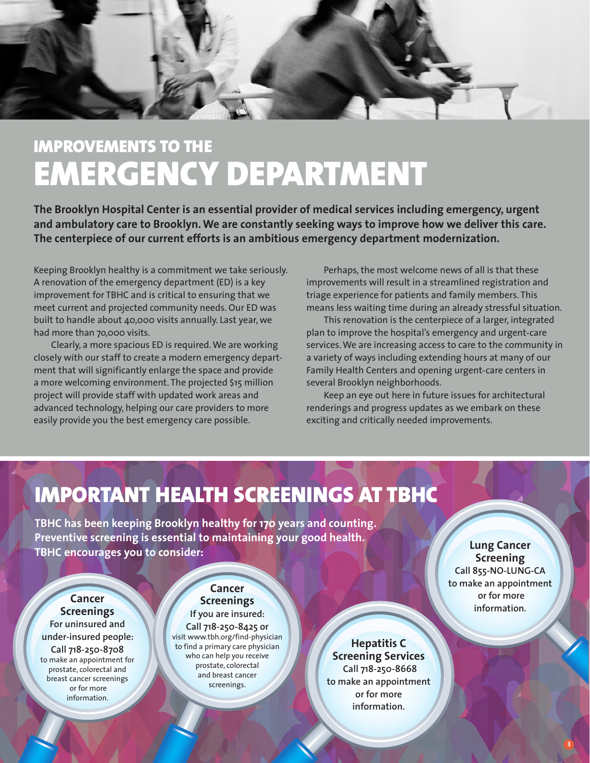

### **IMPROVEMENTS TO THE EMERGENCY DEPARTMENT**

**The Brooklyn Hospital Center is an essential provider of medical services including emergency, urgent and ambulatory care to Brooklyn. We are constantly seeking ways to improve how we deliver this care. The centerpiece of our current efforts is an ambitious emergency department modernization.**

Keeping Brooklyn healthy is a commitment we take seriously. A renovation of the emergency department (ED) is a key improvement for TBHC and is critical to ensuring that we meet current and projected community needs. Our ED was built to handle about 40,000 visits annually. Last year, we had more than 7o,000 visits.

Clearly, a more spacious ED is required. We are working closely with our staff to create a modern emergency department that will significantly enlarge the space and provide a more welcoming environment. The projected \$15 million project will provide staff with updated work areas and advanced technology, helping our care providers to more easily provide you the best emergency care possible.

Perhaps, the most welcome news of all is that these improvements will result in a streamlined registration and triage experience for patients and family members. This means less waiting time during an already stressful situation.

This renovation is the centerpiece of a larger, integrated plan to improve the hospital's emergency and urgent-care services. We are increasing access to care to the community in a variety of ways including extending hours at many of our Family Health Centers and opening urgent-care centers in several Brooklyn neighborhoods.

Keep an eye out here in future issues for architectural renderings and progress updates as we embark on these exciting and critically needed improvements.

### **IMPORTANT HEALTH SCREENINGS AT TBHC**

**TBHC has been keeping Brooklyn healthy for 170 years and counting. Preventive screening is essential to maintaining your good health. TBHC encourages you to consider:**

**Lung Cancer Screening Call 855-NO-LUNG-CA to make an appointment or for more information.**

**Cancer Screenings**

**For uninsured and under-insured people: Call 718-250-8708** to make an appointment for prostate, colorectal and breast cancer screenings or for more information.

#### **Cancer Screenings If you are insured:**

**Call 718-250-8425 or** visit www.tbh.org/find-physician to find a primary care physician who can help you receive prostate, colorectal and breast cancer screenings.

**Hepatitis C Screening Services Call 718-250-8668 to make an appointment or for more information.**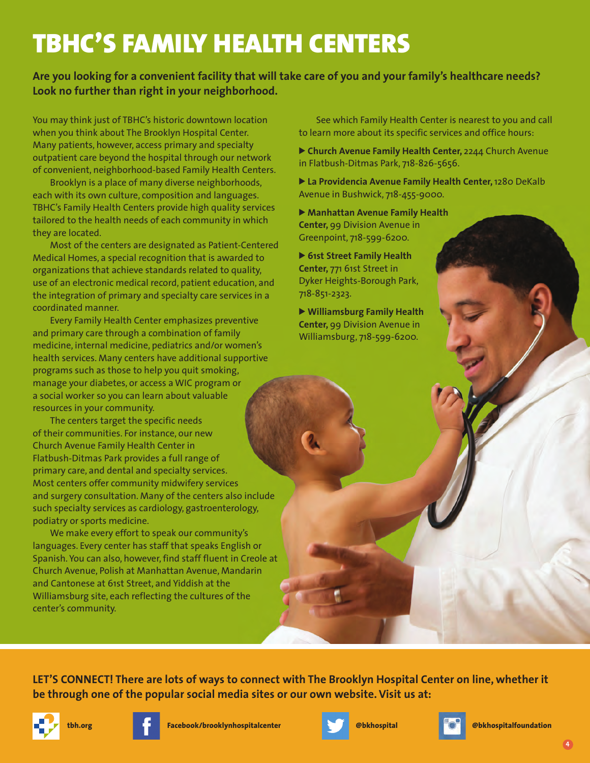## **TBHC'S FAMILY HEALTH CENTERS**

**Are you looking for a convenient facility that will take care of you and your family's healthcare needs? Look no further than right in your neighborhood.** 

You may think just of TBHC's historic downtown location when you think about The Brooklyn Hospital Center. Many patients, however, access primary and specialty outpatient care beyond the hospital through our network of convenient, neighborhood-based Family Health Centers.

Brooklyn is a place of many diverse neighborhoods, each with its own culture, composition and languages. TBHC's Family Health Centers provide high quality services tailored to the health needs of each community in which they are located.

Most of the centers are designated as Patient-Centered Medical Homes, a special recognition that is awarded to organizations that achieve standards related to quality, use of an electronic medical record, patient education, and the integration of primary and specialty care services in a coordinated manner.

Every Family Health Center emphasizes preventive and primary care through a combination of family medicine, internal medicine, pediatrics and/or women's health services. Many centers have additional supportive programs such as those to help you quit smoking, manage your diabetes, or access a WIC program or a social worker so you can learn about valuable resources in your community.

The centers target the specific needs of their communities. For instance, our new Church Avenue Family Health Center in Flatbush-Ditmas Park provides a full range of primary care, and dental and specialty services. Most centers offer community midwifery services and surgery consultation. Many of the centers also include such specialty services as cardiology, gastroenterology, podiatry or sports medicine.

We make every effort to speak our community's languages. Every center has staff that speaks English or Spanish. You can also, however, find staff fluent in Creole at Church Avenue, Polish at Manhattan Avenue, Mandarin and Cantonese at 61st Street, and Yiddish at the Williamsburg site, each reflecting the cultures of the center's community.

See which Family Health Center is nearest to you and call to learn more about its specific services and office hours:

> **Church Avenue Family Health Center,** 2244 Church Avenue in Flatbush-Ditmas Park, 718-826-5656.

> **La Providencia Avenue Family Health Center,** 1280 DeKalb Avenue in Bushwick, 718-455-9000.

> **Manhattan Avenue Family Health Center,** 99 Division Avenue in Greenpoint, 718-599-6200.

> **61st Street Family Health Center,** 771 61st Street in Dyker Heights-Borough Park, 718-851-2323.

> **Williamsburg Family Health Center,** 99 Division Avenue in Williamsburg, 718-599-6200.

**LET'S CONNECT! There are lots of ways to connect with The Brooklyn Hospital Center on line, whether it be through one of the popular social media sites or our own website. Visit us at:**







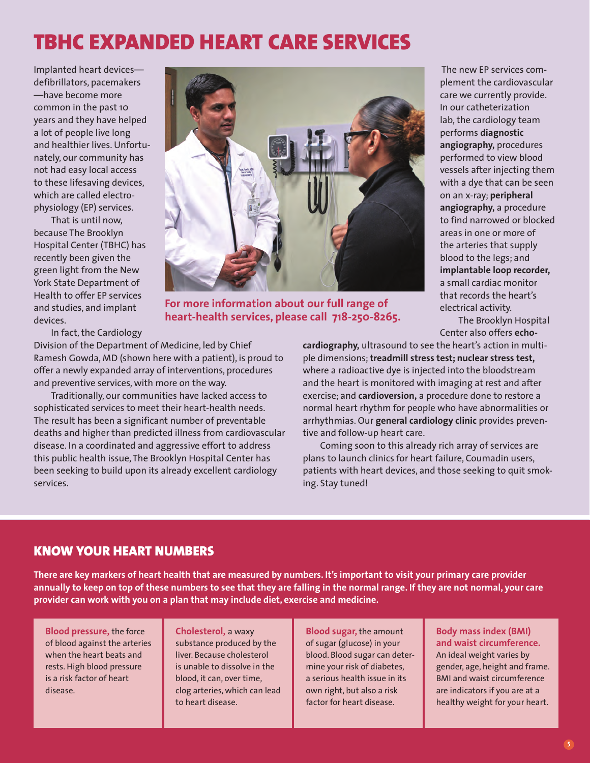### **TBHC EXPANDED HEART CARE SERVICES**

Implanted heart devices defibrillators, pacemakers —have become more common in the past 10 years and they have helped a lot of people live long and healthier lives. Unfortunately, our community has not had easy local access to these lifesaving devices, which are called electrophysiology (EP) services.

That is until now, because The Brooklyn Hospital Center (TBHC) has recently been given the green light from the New York State Department of Health to offer EP services and studies, and implant devices.

In fact, the Cardiology

Division of the Department of Medicine, led by Chief Ramesh Gowda, MD (shown here with a patient), is proud to offer a newly expanded array of interventions, procedures and preventive services, with more on the way.

Traditionally, our communities have lacked access to sophisticated services to meet their heart-health needs. The result has been a significant number of preventable deaths and higher than predicted illness from cardiovascular disease. In a coordinated and aggressive effort to address this public health issue, The Brooklyn Hospital Center has been seeking to build upon its already excellent cardiology services.

The new EP services complement the cardiovascular care we currently provide. In our catheterization lab, the cardiology team performs **diagnostic angiography,** procedures performed to view blood vessels after injecting them with a dye that can be seen on an x-ray; **peripheral angiography,** a procedure to find narrowed or blocked areas in one or more of the arteries that supply blood to the legs; and **implantable loop recorder,** a small cardiac monitor that records the heart's electrical activity.

The Brooklyn Hospital Center also offers **echo-**

**cardiography,** ultrasound to see the heart's action in multiple dimensions; **treadmill stress test; nuclear stress test,** where a radioactive dye is injected into the bloodstream and the heart is monitored with imaging at rest and after exercise; and **cardioversion,** a procedure done to restore a normal heart rhythm for people who have abnormalities or arrhythmias. Our **general cardiology clinic** provides preventive and follow-up heart care.

Coming soon to this already rich array of services are plans to launch clinics for heart failure, Coumadin users, patients with heart devices, and those seeking to quit smoking. Stay tuned!

### **KNOW YOUR HEART NUMBERS**

**There are key markers of heart health that are measured by numbers. It's important to visit your primary care provider annually to keep on top of these numbers to see that they are falling in the normal range. If they are not normal, your care provider can work with you on a plan that may include diet, exercise and medicine.** 

**Blood pressure,** the force of blood against the arteries when the heart beats and rests. High blood pressure is a risk factor of heart disease.

**Cholesterol,** a waxy substance produced by the liver. Because cholesterol is unable to dissolve in the blood, it can, over time, clog arteries, which can lead to heart disease.

**Blood sugar,** the amount of sugar (glucose) in your blood. Blood sugar can determine your risk of diabetes, a serious health issue in its own right, but also a risk factor for heart disease.

#### **Body mass index (BMI) and waist circumference.**

An ideal weight varies by gender, age, height and frame. BMI and waist circumference are indicators if you are at a healthy weight for your heart.

**For more information about our full range of heart-health services, please call 718-250-8265.**